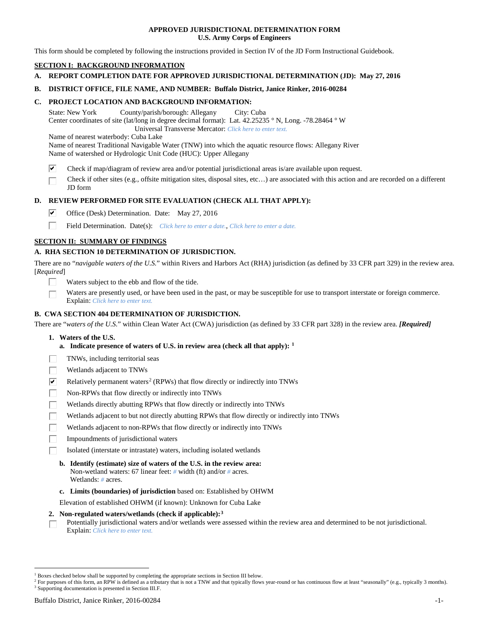### **APPROVED JURISDICTIONAL DETERMINATION FORM U.S. Army Corps of Engineers**

This form should be completed by following the instructions provided in Section IV of the JD Form Instructional Guidebook.

# **SECTION I: BACKGROUND INFORMATION**

- **A. REPORT COMPLETION DATE FOR APPROVED JURISDICTIONAL DETERMINATION (JD): May 27, 2016**
- **B. DISTRICT OFFICE, FILE NAME, AND NUMBER: Buffalo District, Janice Rinker, 2016-00284**

### **C. PROJECT LOCATION AND BACKGROUND INFORMATION:**

State: New York County/parish/borough: Allegany City: Cuba Center coordinates of site (lat/long in degree decimal format): Lat. 42.25235 ° N, Long. -78.28464 ° W Universal Transverse Mercator: *Click here to enter text.*

Name of nearest waterbody: Cuba Lake

Name of nearest Traditional Navigable Water (TNW) into which the aquatic resource flows: Allegany River Name of watershed or Hydrologic Unit Code (HUC): Upper Allegany

- ☑ Check if map/diagram of review area and/or potential jurisdictional areas is/are available upon request.
- Check if other sites (e.g., offsite mitigation sites, disposal sites, etc…) are associated with this action and are recorded on a different JD form

# **D. REVIEW PERFORMED FOR SITE EVALUATION (CHECK ALL THAT APPLY):**

- ⊽ Office (Desk) Determination. Date: May 27, 2016
- п Field Determination. Date(s): *Click here to enter a date.*, *Click here to enter a date.*

# **SECTION II: SUMMARY OF FINDINGS**

### **A. RHA SECTION 10 DETERMINATION OF JURISDICTION.**

There are no "*navigable waters of the U.S.*" within Rivers and Harbors Act (RHA) jurisdiction (as defined by 33 CFR part 329) in the review area. [*Required*]

- Waters subject to the ebb and flow of the tide.
- Waters are presently used, or have been used in the past, or may be susceptible for use to transport interstate or foreign commerce. Explain: *Click here to enter text.*

### **B. CWA SECTION 404 DETERMINATION OF JURISDICTION.**

There are "*waters of the U.S.*" within Clean Water Act (CWA) jurisdiction (as defined by 33 CFR part 328) in the review area. *[Required]*

- **1. Waters of the U.S.**
	- **a. Indicate presence of waters of U.S. in review area (check all that apply): [1](#page-0-0)**
- TNWs, including territorial seas
- Wetlands adjacent to TNWs
- $\overline{\mathbf{v}}$ Relatively permanent waters<sup>[2](#page-0-1)</sup> (RPWs) that flow directly or indirectly into TNWs
- П Non-RPWs that flow directly or indirectly into TNWs
- Wetlands directly abutting RPWs that flow directly or indirectly into TNWs
- Wetlands adjacent to but not directly abutting RPWs that flow directly or indirectly into TNWs
- Wetlands adjacent to non-RPWs that flow directly or indirectly into TNWs
- Impoundments of jurisdictional waters
- Isolated (interstate or intrastate) waters, including isolated wetlands
	- **b. Identify (estimate) size of waters of the U.S. in the review area:** Non-wetland waters: 67 linear feet: *#* width (ft) and/or *#* acres. Wetlands: *#* acres.
	- **c. Limits (boundaries) of jurisdiction** based on: Established by OHWM

Elevation of established OHWM (if known): Unknown for Cuba Lake

#### **2. Non-regulated waters/wetlands (check if applicable):[3](#page-0-2)**

Potentially jurisdictional waters and/or wetlands were assessed within the review area and determined to be not jurisdictional. П Explain: *Click here to enter text.*

<span id="page-0-0"></span><sup>&</sup>lt;sup>1</sup> Boxes checked below shall be supported by completing the appropriate sections in Section III below.

<span id="page-0-2"></span><span id="page-0-1"></span><sup>&</sup>lt;sup>2</sup> For purposes of this form, an RPW is defined as a tributary that is not a TNW and that typically flows year-round or has continuous flow at least "seasonally" (e.g., typically 3 months). <sup>3</sup> Supporting documentation is presented in Section III.F.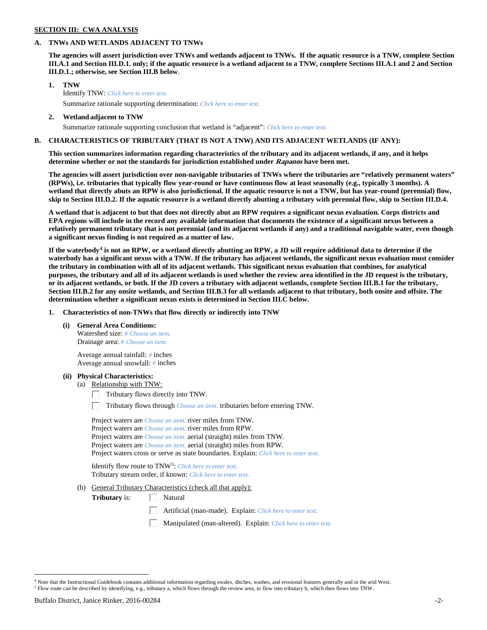# **SECTION III: CWA ANALYSIS**

### **A. TNWs AND WETLANDS ADJACENT TO TNWs**

**The agencies will assert jurisdiction over TNWs and wetlands adjacent to TNWs. If the aquatic resource is a TNW, complete Section III.A.1 and Section III.D.1. only; if the aquatic resource is a wetland adjacent to a TNW, complete Sections III.A.1 and 2 and Section III.D.1.; otherwise, see Section III.B below**.

- **1. TNW**  Identify TNW: *Click here to enter text.*
	- Summarize rationale supporting determination: *Click here to enter text.*
- **2. Wetland adjacent to TNW** Summarize rationale supporting conclusion that wetland is "adjacent": *Click here to enter text.*

# **B. CHARACTERISTICS OF TRIBUTARY (THAT IS NOT A TNW) AND ITS ADJACENT WETLANDS (IF ANY):**

**This section summarizes information regarding characteristics of the tributary and its adjacent wetlands, if any, and it helps determine whether or not the standards for jurisdiction established under Rapanos have been met.** 

**The agencies will assert jurisdiction over non-navigable tributaries of TNWs where the tributaries are "relatively permanent waters" (RPWs), i.e. tributaries that typically flow year-round or have continuous flow at least seasonally (e.g., typically 3 months). A wetland that directly abuts an RPW is also jurisdictional. If the aquatic resource is not a TNW, but has year-round (perennial) flow, skip to Section III.D.2. If the aquatic resource is a wetland directly abutting a tributary with perennial flow, skip to Section III.D.4.**

**A wetland that is adjacent to but that does not directly abut an RPW requires a significant nexus evaluation. Corps districts and EPA regions will include in the record any available information that documents the existence of a significant nexus between a relatively permanent tributary that is not perennial (and its adjacent wetlands if any) and a traditional navigable water, even though a significant nexus finding is not required as a matter of law.**

**If the waterbody[4](#page-1-0) is not an RPW, or a wetland directly abutting an RPW, a JD will require additional data to determine if the waterbody has a significant nexus with a TNW. If the tributary has adjacent wetlands, the significant nexus evaluation must consider the tributary in combination with all of its adjacent wetlands. This significant nexus evaluation that combines, for analytical purposes, the tributary and all of its adjacent wetlands is used whether the review area identified in the JD request is the tributary, or its adjacent wetlands, or both. If the JD covers a tributary with adjacent wetlands, complete Section III.B.1 for the tributary, Section III.B.2 for any onsite wetlands, and Section III.B.3 for all wetlands adjacent to that tributary, both onsite and offsite. The determination whether a significant nexus exists is determined in Section III.C below.**

**1. Characteristics of non-TNWs that flow directly or indirectly into TNW**

**(i) General Area Conditions:**

Watershed size: *# Choose an item.* Drainage area: *# Choose an item.*

Average annual rainfall: *#* inches Average annual snowfall: *#* inches

#### **(ii) Physical Characteristics:**

- (a) Relationship with TNW:
	- Tributary flows directly into TNW. Г.

Tributary flows through *Choose an item.* tributaries before entering TNW.

Project waters are *Choose an item.* river miles from TNW. Project waters are *Choose an item.* river miles from RPW. Project waters are *Choose an item.* aerial (straight) miles from TNW. Project waters are *Choose an item.* aerial (straight) miles from RPW. Project waters cross or serve as state boundaries. Explain: *Click here to enter text.*

Identify flow route to TNW[5:](#page-1-1) *Click here to enter text.* Tributary stream order, if known: *Click here to enter text.*

(b) General Tributary Characteristics (check all that apply):

**Tributary** is:  $\Box$  Natural

- Artificial (man-made). Explain: *Click here to enter text.*
- Manipulated (man-altered). Explain: *Click here to enter text.*

<span id="page-1-1"></span><span id="page-1-0"></span><sup>&</sup>lt;sup>4</sup> Note that the Instructional Guidebook contains additional information regarding swales, ditches, washes, and erosional features generally and in the arid West. <sup>5</sup> Flow route can be described by identifying, e.g., tributary a, which flows through the review area, to flow into tributary b, which then flows into TNW.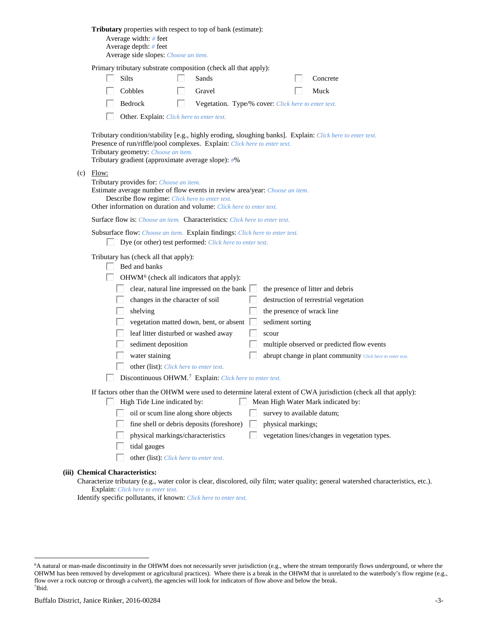| Tributary properties with respect to top of bank (estimate):<br>Average width: # feet<br>Average depth: $#$ feet<br>Average side slopes: Choose an item.                                                                                                                                                                                                                                                                                                                                                                                                                                                                                                                                                              |
|-----------------------------------------------------------------------------------------------------------------------------------------------------------------------------------------------------------------------------------------------------------------------------------------------------------------------------------------------------------------------------------------------------------------------------------------------------------------------------------------------------------------------------------------------------------------------------------------------------------------------------------------------------------------------------------------------------------------------|
| Primary tributary substrate composition (check all that apply):<br>Silts<br>Sands<br>Concrete<br>Cobbles<br>Gravel<br>Muck<br>Bedrock<br>Vegetation. Type/% cover: Click here to enter text.<br>L                                                                                                                                                                                                                                                                                                                                                                                                                                                                                                                     |
| Other. Explain: Click here to enter text.<br>Tributary condition/stability [e.g., highly eroding, sloughing banks]. Explain: Click here to enter text.<br>Presence of run/riffle/pool complexes. Explain: Click here to enter text.<br>Tributary geometry: Choose an item.<br>Tributary gradient (approximate average slope): #%                                                                                                                                                                                                                                                                                                                                                                                      |
| $(c)$ Flow:<br>Tributary provides for: Choose an item.<br>Estimate average number of flow events in review area/year: Choose an item.<br>Describe flow regime: Click here to enter text.<br>Other information on duration and volume: Click here to enter text.                                                                                                                                                                                                                                                                                                                                                                                                                                                       |
| <b>Surface flow is:</b> <i>Choose an item.</i> <b>Characteristics:</b> <i>Click here to enter text.</i>                                                                                                                                                                                                                                                                                                                                                                                                                                                                                                                                                                                                               |
| Subsurface flow: Choose an item. Explain findings: Click here to enter text.<br>Dye (or other) test performed: Click here to enter text.                                                                                                                                                                                                                                                                                                                                                                                                                                                                                                                                                                              |
| Tributary has (check all that apply):<br>Bed and banks<br>OHWM <sup>6</sup> (check all indicators that apply):<br>clear, natural line impressed on the bank $\Box$<br>the presence of litter and debris<br>changes in the character of soil<br>destruction of terrestrial vegetation<br>the presence of wrack line<br>shelving<br>vegetation matted down, bent, or absent<br>sediment sorting<br>leaf litter disturbed or washed away<br>scour<br>sediment deposition<br>multiple observed or predicted flow events<br>water staining<br>abrupt change in plant community Click here to enter text.<br>other (list): Click here to enter text.<br>Discontinuous OHWM. <sup>7</sup> Explain: Click here to enter text. |
| If factors other than the OHWM were used to determine lateral extent of CWA jurisdiction (check all that apply):<br>High Tide Line indicated by:<br>Mean High Water Mark indicated by:<br>L<br>oil or scum line along shore objects<br>survey to available datum;<br>fine shell or debris deposits (foreshore)<br>physical markings;<br>physical markings/characteristics<br>vegetation lines/changes in vegetation types.<br>tidal gauges<br>other (list): Click here to enter text.                                                                                                                                                                                                                                 |
| (iii) Chemical Characteristics:                                                                                                                                                                                                                                                                                                                                                                                                                                                                                                                                                                                                                                                                                       |

Characterize tributary (e.g., water color is clear, discolored, oily film; water quality; general watershed characteristics, etc.). Explain: *Click here to enter text.*

Identify specific pollutants, if known: *Click here to enter text.*

<span id="page-2-1"></span><span id="page-2-0"></span> <sup>6</sup> <sup>6</sup>A natural or man-made discontinuity in the OHWM does not necessarily sever jurisdiction (e.g., where the stream temporarily flows underground, or where the OHWM has been removed by development or agricultural practices). Where there is a break in the OHWM that is unrelated to the waterbody's flow regime (e.g., flow over a rock outcrop or through a culvert), the agencies will look for indicators of flow above and below the break. 7 Ibid.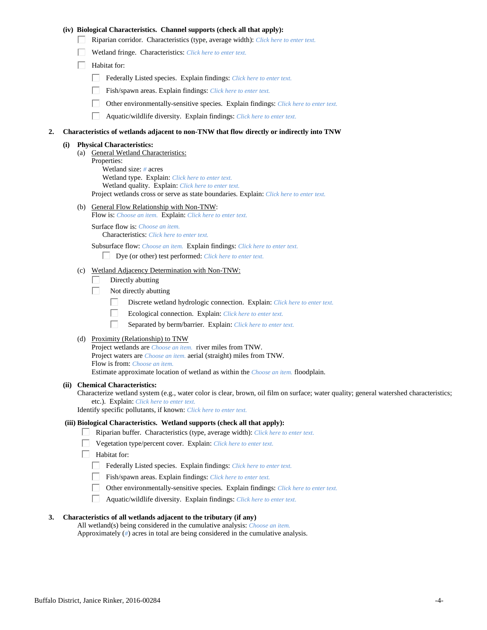### **(iv) Biological Characteristics. Channel supports (check all that apply):**

- Riparian corridor. Characteristics (type, average width): *Click here to enter text.*
- Wetland fringe. Characteristics: *Click here to enter text.*
- $\Box$  Habitat for:
	- Federally Listed species. Explain findings: *Click here to enter text.*
	- Fish/spawn areas. Explain findings: *Click here to enter text.*
	- Other environmentally-sensitive species. Explain findings: *Click here to enter text.*
	- $\Box$ Aquatic/wildlife diversity. Explain findings: *Click here to enter text.*

#### **2. Characteristics of wetlands adjacent to non-TNW that flow directly or indirectly into TNW**

#### **(i) Physical Characteristics:**

(a) General Wetland Characteristics: Properties: Wetland size: *#* acres Wetland type. Explain: *Click here to enter text.* Wetland quality. Explain: *Click here to enter text.* Project wetlands cross or serve as state boundaries. Explain: *Click here to enter text.*

(b) General Flow Relationship with Non-TNW:

Flow is: *Choose an item.* Explain: *Click here to enter text.*

Surface flow is: *Choose an item.* Characteristics: *Click here to enter text.*

Subsurface flow: *Choose an item.* Explain findings: *Click here to enter text.*

- Dye (or other) test performed: *Click here to enter text.*
- (c) Wetland Adjacency Determination with Non-TNW:
	- Directly abutting П.
	- П. Not directly abutting
		- П. Discrete wetland hydrologic connection. Explain: *Click here to enter text.*
		- П. Ecological connection. Explain: *Click here to enter text.*
		- П. Separated by berm/barrier. Explain: *Click here to enter text.*
- (d) Proximity (Relationship) to TNW

Project wetlands are *Choose an item.* river miles from TNW. Project waters are *Choose an item.* aerial (straight) miles from TNW. Flow is from: *Choose an item.* Estimate approximate location of wetland as within the *Choose an item.* floodplain.

#### **(ii) Chemical Characteristics:**

Characterize wetland system (e.g., water color is clear, brown, oil film on surface; water quality; general watershed characteristics; etc.). Explain: *Click here to enter text.*

Identify specific pollutants, if known: *Click here to enter text.*

#### **(iii) Biological Characteristics. Wetland supports (check all that apply):**

- Riparian buffer. Characteristics (type, average width): *Click here to enter text.*
	- Vegetation type/percent cover. Explain: *Click here to enter text.*
	- Habitat for:
		- Federally Listed species. Explain findings: *Click here to enter text*.
		- Fish/spawn areas. Explain findings: *Click here to enter text.*
		- Other environmentally-sensitive species. Explain findings: *Click here to enter text.*  $\Box$
		- $\Box$ Aquatic/wildlife diversity. Explain findings: *Click here to enter text.*

### **3. Characteristics of all wetlands adjacent to the tributary (if any)**

All wetland(s) being considered in the cumulative analysis: *Choose an item.* Approximately (*#*) acres in total are being considered in the cumulative analysis.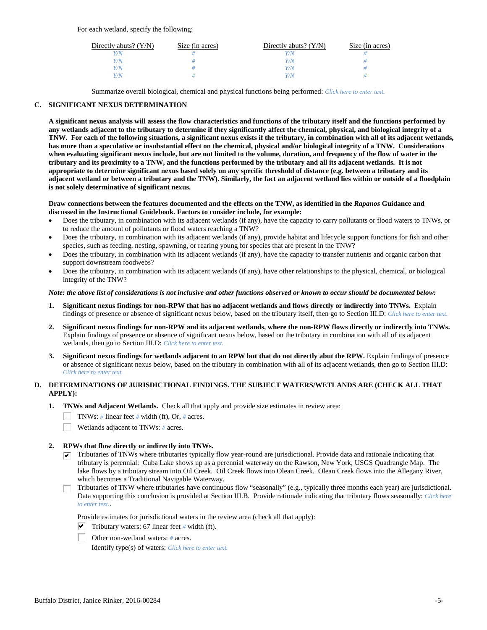For each wetland, specify the following:

| Directly abuts? $(Y/N)$ | Size (in acres) | Directly abuts? $(Y/N)$ | Size (in acres) |
|-------------------------|-----------------|-------------------------|-----------------|
|                         |                 |                         |                 |
| V/N                     |                 | Y/N                     |                 |
| V/N                     |                 | Y/N                     |                 |
|                         |                 | Y/N                     |                 |

Summarize overall biological, chemical and physical functions being performed: *Click here to enter text.*

# **C. SIGNIFICANT NEXUS DETERMINATION**

**A significant nexus analysis will assess the flow characteristics and functions of the tributary itself and the functions performed by any wetlands adjacent to the tributary to determine if they significantly affect the chemical, physical, and biological integrity of a TNW. For each of the following situations, a significant nexus exists if the tributary, in combination with all of its adjacent wetlands, has more than a speculative or insubstantial effect on the chemical, physical and/or biological integrity of a TNW. Considerations when evaluating significant nexus include, but are not limited to the volume, duration, and frequency of the flow of water in the tributary and its proximity to a TNW, and the functions performed by the tributary and all its adjacent wetlands. It is not appropriate to determine significant nexus based solely on any specific threshold of distance (e.g. between a tributary and its adjacent wetland or between a tributary and the TNW). Similarly, the fact an adjacent wetland lies within or outside of a floodplain is not solely determinative of significant nexus.** 

#### **Draw connections between the features documented and the effects on the TNW, as identified in the** *Rapanos* **Guidance and discussed in the Instructional Guidebook. Factors to consider include, for example:**

- Does the tributary, in combination with its adjacent wetlands (if any), have the capacity to carry pollutants or flood waters to TNWs, or to reduce the amount of pollutants or flood waters reaching a TNW?
- Does the tributary, in combination with its adjacent wetlands (if any), provide habitat and lifecycle support functions for fish and other species, such as feeding, nesting, spawning, or rearing young for species that are present in the TNW?
- Does the tributary, in combination with its adjacent wetlands (if any), have the capacity to transfer nutrients and organic carbon that support downstream foodwebs?
- Does the tributary, in combination with its adjacent wetlands (if any), have other relationships to the physical, chemical, or biological integrity of the TNW?

#### *Note: the above list of considerations is not inclusive and other functions observed or known to occur should be documented below:*

- **1. Significant nexus findings for non-RPW that has no adjacent wetlands and flows directly or indirectly into TNWs.** Explain findings of presence or absence of significant nexus below, based on the tributary itself, then go to Section III.D: *Click here to enter text.*
- **2. Significant nexus findings for non-RPW and its adjacent wetlands, where the non-RPW flows directly or indirectly into TNWs.**  Explain findings of presence or absence of significant nexus below, based on the tributary in combination with all of its adjacent wetlands, then go to Section III.D: *Click here to enter text.*
- **3. Significant nexus findings for wetlands adjacent to an RPW but that do not directly abut the RPW.** Explain findings of presence or absence of significant nexus below, based on the tributary in combination with all of its adjacent wetlands, then go to Section III.D: *Click here to enter text.*

# **D. DETERMINATIONS OF JURISDICTIONAL FINDINGS. THE SUBJECT WATERS/WETLANDS ARE (CHECK ALL THAT APPLY):**

- **1. TNWs and Adjacent Wetlands.** Check all that apply and provide size estimates in review area:
	- TNWs: *#* linear feet *#* width (ft), Or, *#* acres.
	- $\Box$ Wetlands adjacent to TNWs: *#* acres.

# **2. RPWs that flow directly or indirectly into TNWs.**

- $\triangledown$  Tributaries of TNWs where tributaries typically flow year-round are jurisdictional. Provide data and rationale indicating that tributary is perennial: Cuba Lake shows up as a perennial waterway on the Rawson, New York, USGS Quadrangle Map. The lake flows by a tributary stream into Oil Creek. Oil Creek flows into Olean Creek. Olean Creek flows into the Allegany River, which becomes a Traditional Navigable Waterway.
- Tributaries of TNW where tributaries have continuous flow "seasonally" (e.g., typically three months each year) are jurisdictional. Data supporting this conclusion is provided at Section III.B. Provide rationale indicating that tributary flows seasonally: *Click here to enter text.*.

Provide estimates for jurisdictional waters in the review area (check all that apply):

- $\triangledown$  Tributary waters: 67 linear feet # width (ft).
- Other non-wetland waters: *#* acres.

Identify type(s) of waters: *Click here to enter text.*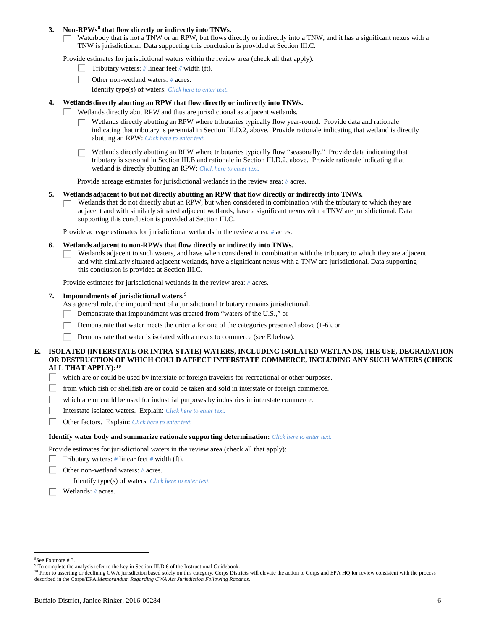### **3. Non-RPWs[8](#page-5-0) that flow directly or indirectly into TNWs.**

Waterbody that is not a TNW or an RPW, but flows directly or indirectly into a TNW, and it has a significant nexus with a TNW is jurisdictional. Data supporting this conclusion is provided at Section III.C.

Provide estimates for jurisdictional waters within the review area (check all that apply):

- Tributary waters: *#* linear feet *#* width (ft).  $\mathbf{L}$
- Other non-wetland waters: *#* acres.
	- Identify type(s) of waters: *Click here to enter text.*

### **4. Wetlands directly abutting an RPW that flow directly or indirectly into TNWs.**

- ГT. Wetlands directly abut RPW and thus are jurisdictional as adjacent wetlands.
	- Wetlands directly abutting an RPW where tributaries typically flow year-round. Provide data and rationale indicating that tributary is perennial in Section III.D.2, above. Provide rationale indicating that wetland is directly abutting an RPW: *Click here to enter text.*

Wetlands directly abutting an RPW where tributaries typically flow "seasonally." Provide data indicating that tributary is seasonal in Section III.B and rationale in Section III.D.2, above. Provide rationale indicating that wetland is directly abutting an RPW: *Click here to enter text.*

Provide acreage estimates for jurisdictional wetlands in the review area: *#* acres.

#### **5. Wetlands adjacent to but not directly abutting an RPW that flow directly or indirectly into TNWs.**

Wetlands that do not directly abut an RPW, but when considered in combination with the tributary to which they are П adjacent and with similarly situated adjacent wetlands, have a significant nexus with a TNW are jurisidictional. Data supporting this conclusion is provided at Section III.C.

Provide acreage estimates for jurisdictional wetlands in the review area: *#* acres.

#### **6. Wetlands adjacent to non-RPWs that flow directly or indirectly into TNWs.**

Wetlands adjacent to such waters, and have when considered in combination with the tributary to which they are adjacent П and with similarly situated adjacent wetlands, have a significant nexus with a TNW are jurisdictional. Data supporting this conclusion is provided at Section III.C.

Provide estimates for jurisdictional wetlands in the review area: *#* acres.

### **7. Impoundments of jurisdictional waters. [9](#page-5-1)**

As a general rule, the impoundment of a jurisdictional tributary remains jurisdictional.

- Demonstrate that impoundment was created from "waters of the U.S.," or
- Demonstrate that water meets the criteria for one of the categories presented above (1-6), or
- Demonstrate that water is isolated with a nexus to commerce (see E below). Г

### **E. ISOLATED [INTERSTATE OR INTRA-STATE] WATERS, INCLUDING ISOLATED WETLANDS, THE USE, DEGRADATION OR DESTRUCTION OF WHICH COULD AFFECT INTERSTATE COMMERCE, INCLUDING ANY SUCH WATERS (CHECK ALL THAT APPLY):[10](#page-5-2)**

- L. which are or could be used by interstate or foreign travelers for recreational or other purposes.
- from which fish or shellfish are or could be taken and sold in interstate or foreign commerce.
- which are or could be used for industrial purposes by industries in interstate commerce. П.
- Г Interstate isolated waters.Explain: *Click here to enter text.*
- п Other factors.Explain: *Click here to enter text.*

#### **Identify water body and summarize rationale supporting determination:** *Click here to enter text.*

Provide estimates for jurisdictional waters in the review area (check all that apply):

- Tributary waters: *#* linear feet *#* width (ft).
- Other non-wetland waters: *#* acres.

Identify type(s) of waters: *Click here to enter text.*

Wetlands: *#* acres.

<span id="page-5-0"></span> $\frac{1}{8}$ See Footnote # 3.

<sup>&</sup>lt;sup>9</sup> To complete the analysis refer to the key in Section III.D.6 of the Instructional Guidebook.

<span id="page-5-2"></span><span id="page-5-1"></span><sup>&</sup>lt;sup>10</sup> Prior to asserting or declining CWA jurisdiction based solely on this category, Corps Districts will elevate the action to Corps and EPA HQ for review consistent with the process described in the Corps/EPA *Memorandum Regarding CWA Act Jurisdiction Following Rapanos.*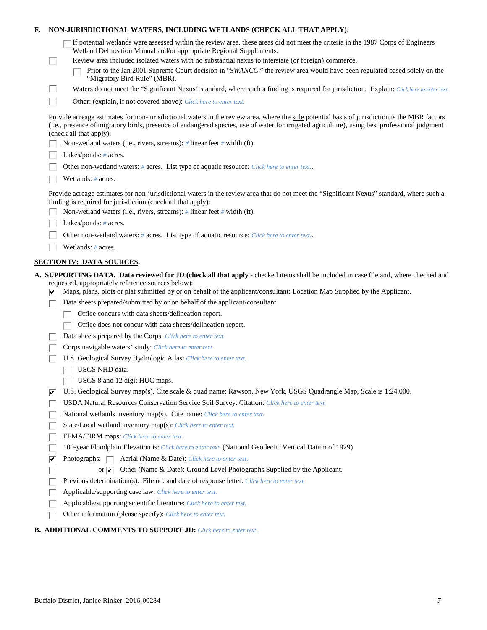| Е.                                                                                                                                                                                                                                                                                                                        | NON-JURISDICTIONAL WATERS, INCLUDING WETLANDS (CHECK ALL THAT APPLY):                                                                                                                                      |                                                                                                                                                                                                         |  |  |  |
|---------------------------------------------------------------------------------------------------------------------------------------------------------------------------------------------------------------------------------------------------------------------------------------------------------------------------|------------------------------------------------------------------------------------------------------------------------------------------------------------------------------------------------------------|---------------------------------------------------------------------------------------------------------------------------------------------------------------------------------------------------------|--|--|--|
|                                                                                                                                                                                                                                                                                                                           |                                                                                                                                                                                                            | If potential wetlands were assessed within the review area, these areas did not meet the criteria in the 1987 Corps of Engineers<br>Wetland Delineation Manual and/or appropriate Regional Supplements. |  |  |  |
|                                                                                                                                                                                                                                                                                                                           | L                                                                                                                                                                                                          | Review area included isolated waters with no substantial nexus to interstate (or foreign) commerce.                                                                                                     |  |  |  |
|                                                                                                                                                                                                                                                                                                                           |                                                                                                                                                                                                            | Prior to the Jan 2001 Supreme Court decision in "SWANCC," the review area would have been regulated based solely on the<br>"Migratory Bird Rule" (MBR).                                                 |  |  |  |
|                                                                                                                                                                                                                                                                                                                           | Ш                                                                                                                                                                                                          | Waters do not meet the "Significant Nexus" standard, where such a finding is required for jurisdiction. Explain: Click here to enter text.                                                              |  |  |  |
|                                                                                                                                                                                                                                                                                                                           | П                                                                                                                                                                                                          | Other: (explain, if not covered above): Click here to enter text.                                                                                                                                       |  |  |  |
| Provide acreage estimates for non-jurisdictional waters in the review area, where the sole potential basis of jurisdiction is the MBR factors<br>(i.e., presence of migratory birds, presence of endangered species, use of water for irrigated agriculture), using best professional judgment<br>(check all that apply): |                                                                                                                                                                                                            |                                                                                                                                                                                                         |  |  |  |
|                                                                                                                                                                                                                                                                                                                           |                                                                                                                                                                                                            | Non-wetland waters (i.e., rivers, streams): # linear feet # width (ft).                                                                                                                                 |  |  |  |
|                                                                                                                                                                                                                                                                                                                           |                                                                                                                                                                                                            | Lakes/ponds: $# \, \text{acres.}$                                                                                                                                                                       |  |  |  |
|                                                                                                                                                                                                                                                                                                                           |                                                                                                                                                                                                            | Other non-wetland waters: # acres. List type of aquatic resource: Click here to enter text                                                                                                              |  |  |  |
|                                                                                                                                                                                                                                                                                                                           |                                                                                                                                                                                                            | Wetlands: # acres.                                                                                                                                                                                      |  |  |  |
|                                                                                                                                                                                                                                                                                                                           | Provide acreage estimates for non-jurisdictional waters in the review area that do not meet the "Significant Nexus" standard, where such a<br>finding is required for jurisdiction (check all that apply): |                                                                                                                                                                                                         |  |  |  |
|                                                                                                                                                                                                                                                                                                                           |                                                                                                                                                                                                            | Non-wetland waters (i.e., rivers, streams): $\#$ linear feet $\#$ width (ft).                                                                                                                           |  |  |  |
|                                                                                                                                                                                                                                                                                                                           |                                                                                                                                                                                                            | Lakes/ponds: $# \, \text{acres.}$                                                                                                                                                                       |  |  |  |
|                                                                                                                                                                                                                                                                                                                           |                                                                                                                                                                                                            | Other non-wetland waters: # acres. List type of aquatic resource: Click here to enter text                                                                                                              |  |  |  |
|                                                                                                                                                                                                                                                                                                                           |                                                                                                                                                                                                            | Wetlands: # acres.                                                                                                                                                                                      |  |  |  |
|                                                                                                                                                                                                                                                                                                                           |                                                                                                                                                                                                            | <b>SECTION IV: DATA SOURCES.</b>                                                                                                                                                                        |  |  |  |
|                                                                                                                                                                                                                                                                                                                           |                                                                                                                                                                                                            | A. SUPPORTING DATA. Data reviewed for JD (check all that apply - checked items shall be included in case file and, where checked and                                                                    |  |  |  |
|                                                                                                                                                                                                                                                                                                                           |                                                                                                                                                                                                            | requested, appropriately reference sources below):<br>Maps, plans, plots or plat submitted by or on behalf of the applicant/consultant: Location Map Supplied by the Applicant.                         |  |  |  |
|                                                                                                                                                                                                                                                                                                                           |                                                                                                                                                                                                            | Data sheets prepared/submitted by or on behalf of the applicant/consultant.                                                                                                                             |  |  |  |
|                                                                                                                                                                                                                                                                                                                           |                                                                                                                                                                                                            | Office concurs with data sheets/delineation report.                                                                                                                                                     |  |  |  |
|                                                                                                                                                                                                                                                                                                                           |                                                                                                                                                                                                            | Office does not concur with data sheets/delineation report.                                                                                                                                             |  |  |  |
|                                                                                                                                                                                                                                                                                                                           |                                                                                                                                                                                                            | Data sheets prepared by the Corps: Click here to enter text.                                                                                                                                            |  |  |  |
|                                                                                                                                                                                                                                                                                                                           |                                                                                                                                                                                                            | Corps navigable waters' study: Click here to enter text.                                                                                                                                                |  |  |  |
|                                                                                                                                                                                                                                                                                                                           |                                                                                                                                                                                                            | U.S. Geological Survey Hydrologic Atlas: Click here to enter text.                                                                                                                                      |  |  |  |
|                                                                                                                                                                                                                                                                                                                           |                                                                                                                                                                                                            | USGS NHD data.                                                                                                                                                                                          |  |  |  |
|                                                                                                                                                                                                                                                                                                                           |                                                                                                                                                                                                            | USGS 8 and 12 digit HUC maps.                                                                                                                                                                           |  |  |  |
|                                                                                                                                                                                                                                                                                                                           | ⊮                                                                                                                                                                                                          | U.S. Geological Survey map(s). Cite scale & quad name: Rawson, New York, USGS Quadrangle Map, Scale is 1:24,000.                                                                                        |  |  |  |
|                                                                                                                                                                                                                                                                                                                           |                                                                                                                                                                                                            | USDA Natural Resources Conservation Service Soil Survey. Citation: Click here to enter text.                                                                                                            |  |  |  |
|                                                                                                                                                                                                                                                                                                                           |                                                                                                                                                                                                            | National wetlands inventory map(s). Cite name: Click here to enter text.                                                                                                                                |  |  |  |
|                                                                                                                                                                                                                                                                                                                           |                                                                                                                                                                                                            | State/Local wetland inventory map(s): Click here to enter text.                                                                                                                                         |  |  |  |
|                                                                                                                                                                                                                                                                                                                           |                                                                                                                                                                                                            | FEMA/FIRM maps: Click here to enter text.                                                                                                                                                               |  |  |  |
|                                                                                                                                                                                                                                                                                                                           |                                                                                                                                                                                                            | 100-year Floodplain Elevation is: Click here to enter text. (National Geodectic Vertical Datum of 1929)                                                                                                 |  |  |  |
|                                                                                                                                                                                                                                                                                                                           | ⊽                                                                                                                                                                                                          | Photographs: $\Box$<br>Aerial (Name & Date): Click here to enter text.                                                                                                                                  |  |  |  |
|                                                                                                                                                                                                                                                                                                                           |                                                                                                                                                                                                            | Other (Name & Date): Ground Level Photographs Supplied by the Applicant.<br>or $\overline{\mathbf{v}}$                                                                                                  |  |  |  |
|                                                                                                                                                                                                                                                                                                                           |                                                                                                                                                                                                            | Previous determination(s). File no. and date of response letter: Click here to enter text.                                                                                                              |  |  |  |
|                                                                                                                                                                                                                                                                                                                           |                                                                                                                                                                                                            | Applicable/supporting case law: Click here to enter text.                                                                                                                                               |  |  |  |
|                                                                                                                                                                                                                                                                                                                           |                                                                                                                                                                                                            | Applicable/supporting scientific literature: Click here to enter text.                                                                                                                                  |  |  |  |
|                                                                                                                                                                                                                                                                                                                           |                                                                                                                                                                                                            | Other information (please specify): Click here to enter text.                                                                                                                                           |  |  |  |
|                                                                                                                                                                                                                                                                                                                           |                                                                                                                                                                                                            |                                                                                                                                                                                                         |  |  |  |

# **B. ADDITIONAL COMMENTS TO SUPPORT JD:** *Click here to enter text.*